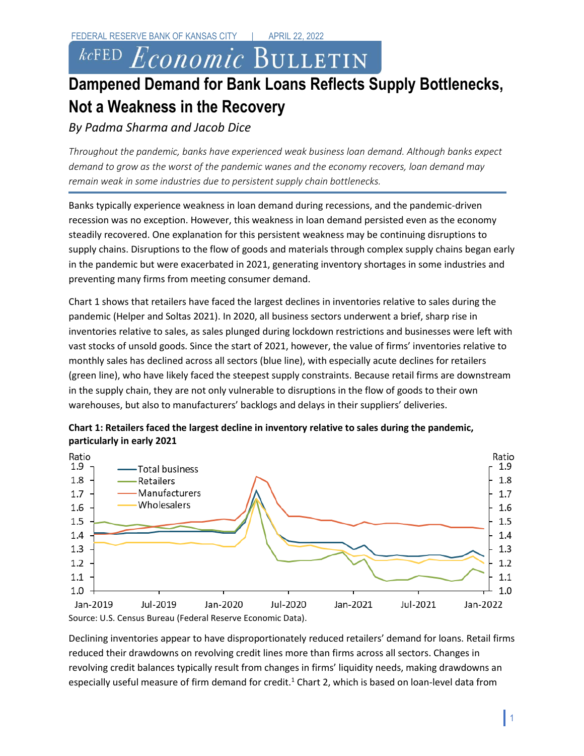*kc*FED Economic BULLETIN

# **Dampened Demand for Bank Loans Reflects Supply Bottlenecks, Not a Weakness in the Recovery**

## *By Padma Sharma and Jacob Dice*

*Throughout the pandemic, banks have experienced weak business loan demand. Although banks expect demand to grow as the worst of the pandemic wanes and the economy recovers, loan demand may remain weak in some industries due to persistent supply chain bottlenecks.* 

Banks typically experience weakness in loan demand during recessions, and the pandemic-driven recession was no exception. However, this weakness in loan demand persisted even as the economy steadily recovered. One explanation for this persistent weakness may be continuing disruptions to supply chains. Disruptions to the flow of goods and materials through complex supply chains began early in the pandemic but were exacerbated in 2021, generating inventory shortages in some industries and preventing many firms from meeting consumer demand.

Chart 1 shows that retailers have faced the largest declines in inventories relative to sales during the pandemic (Helper and Soltas 2021). In 2020, all business sectors underwent a brief, sharp rise in inventories relative to sales, as sales plunged during lockdown restrictions and businesses were left with vast stocks of unsold goods. Since the start of 2021, however, the value of firms' inventories relative to monthly sales has declined across all sectors (blue line), with especially acute declines for retailers (green line), who have likely faced the steepest supply constraints. Because retail firms are downstream in the supply chain, they are not only vulnerable to disruptions in the flow of goods to their own warehouses, but also to manufacturers' backlogs and delays in their suppliers' deliveries.



**Chart 1: Retailers faced the largest decline in inventory relative to sales during the pandemic, particularly in early 2021** 

Declining inventories appear to have disproportionately reduced retailers' demand for loans. Retail firms reduced their drawdowns on revolving credit lines more than firms across all sectors. Changes in revolving credit balances typically result from changes in firms' liquidity needs, making drawdowns an especially useful measure of firm demand for credit.<sup>1</sup> Chart 2, which is based on loan-level data from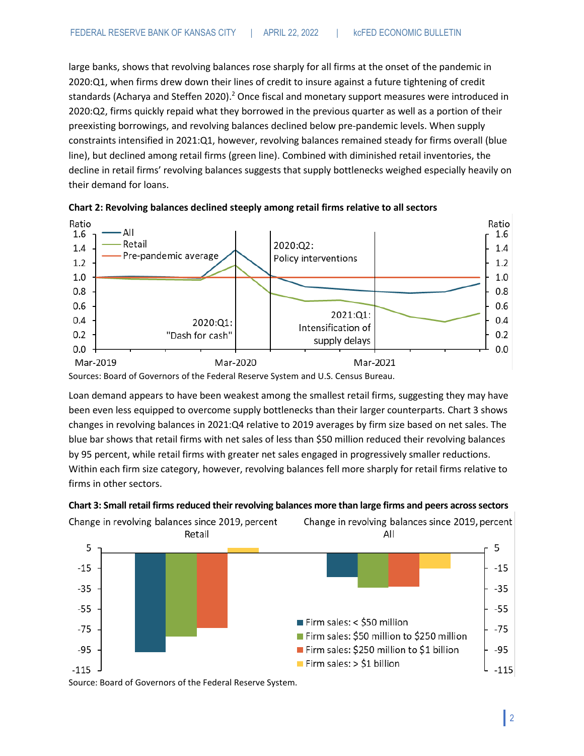large banks, shows that revolving balances rose sharply for all firms at the onset of the pandemic in 2020:Q1, when firms drew down their lines of credit to insure against a future tightening of credit standards (Acharya and Steffen 2020).<sup>2</sup> Once fiscal and monetary support measures were introduced in 2020:Q2, firms quickly repaid what they borrowed in the previous quarter as well as a portion of their preexisting borrowings, and revolving balances declined below pre-pandemic levels. When supply constraints intensified in 2021:Q1, however, revolving balances remained steady for firms overall (blue line), but declined among retail firms (green line). Combined with diminished retail inventories, the decline in retail firms' revolving balances suggests that supply bottlenecks weighed especially heavily on their demand for loans.





Sources: Board of Governors of the Federal Reserve System and U.S. Census Bureau.

Loan demand appears to have been weakest among the smallest retail firms, suggesting they may have been even less equipped to overcome supply bottlenecks than their larger counterparts. Chart 3 shows changes in revolving balances in 2021:Q4 relative to 2019 averages by firm size based on net sales. The blue bar shows that retail firms with net sales of less than \$50 million reduced their revolving balances by 95 percent, while retail firms with greater net sales engaged in progressively smaller reductions. Within each firm size category, however, revolving balances fell more sharply for retail firms relative to firms in other sectors.

#### **Chart 3: Small retail firms reduced their revolving balances more than large firms and peers across sectors**



Source: Board of Governors of the Federal Reserve System.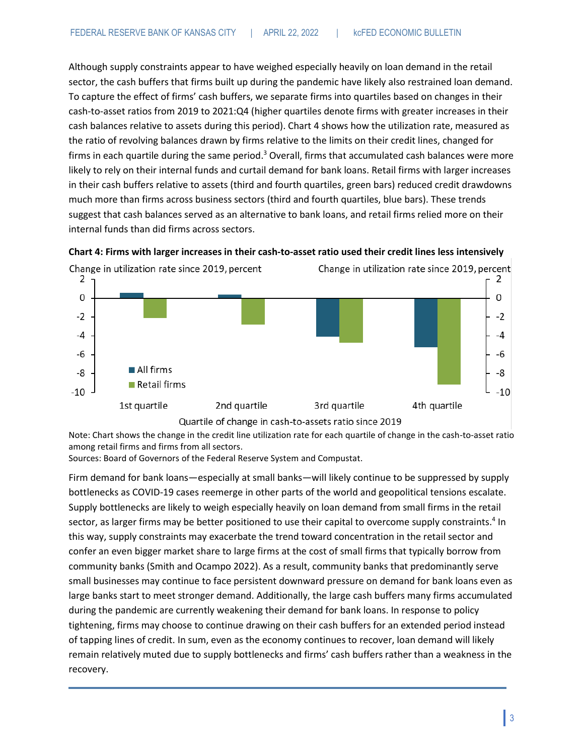Although supply constraints appear to have weighed especially heavily on loan demand in the retail sector, the cash buffers that firms built up during the pandemic have likely also restrained loan demand. To capture the effect of firms' cash buffers, we separate firms into quartiles based on changes in their cash-to-asset ratios from 2019 to 2021:Q4 (higher quartiles denote firms with greater increases in their cash balances relative to assets during this period). Chart 4 shows how the utilization rate, measured as the ratio of revolving balances drawn by firms relative to the limits on their credit lines, changed for firms in each quartile during the same period.<sup>3</sup> Overall, firms that accumulated cash balances were more likely to rely on their internal funds and curtail demand for bank loans. Retail firms with larger increases in their cash buffers relative to assets (third and fourth quartiles, green bars) reduced credit drawdowns much more than firms across business sectors (third and fourth quartiles, blue bars). These trends suggest that cash balances served as an alternative to bank loans, and retail firms relied more on their internal funds than did firms across sectors.





Quartile of change in cash-to-assets ratio since 2019

Note: Chart shows the change in the credit line utilization rate for each quartile of change in the cash-to-asset ratio among retail firms and firms from all sectors.

Sources: Board of Governors of the Federal Reserve System and Compustat.

Firm demand for bank loans—especially at small banks—will likely continue to be suppressed by supply bottlenecks as COVID-19 cases reemerge in other parts of the world and geopolitical tensions escalate. Supply bottlenecks are likely to weigh especially heavily on loan demand from small firms in the retail sector, as larger firms may be better positioned to use their capital to overcome supply constraints.<sup>4</sup> In this way, supply constraints may exacerbate the trend toward concentration in the retail sector and confer an even bigger market share to large firms at the cost of small firms that typically borrow from community banks (Smith and Ocampo 2022). As a result, community banks that predominantly serve small businesses may continue to face persistent downward pressure on demand for bank loans even as large banks start to meet stronger demand. Additionally, the large cash buffers many firms accumulated during the pandemic are currently weakening their demand for bank loans. In response to policy tightening, firms may choose to continue drawing on their cash buffers for an extended period instead of tapping lines of credit. In sum, even as the economy continues to recover, loan demand will likely remain relatively muted due to supply bottlenecks and firms' cash buffers rather than a weakness in the recovery.